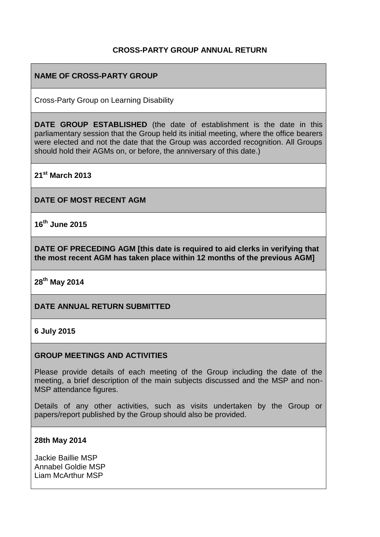### **CROSS-PARTY GROUP ANNUAL RETURN**

## **NAME OF CROSS-PARTY GROUP**

Cross-Party Group on Learning Disability

**DATE GROUP ESTABLISHED** (the date of establishment is the date in this parliamentary session that the Group held its initial meeting, where the office bearers were elected and not the date that the Group was accorded recognition. All Groups should hold their AGMs on, or before, the anniversary of this date.)

**21st March 2013**

**DATE OF MOST RECENT AGM**

**16th June 2015**

**DATE OF PRECEDING AGM [this date is required to aid clerks in verifying that the most recent AGM has taken place within 12 months of the previous AGM]**

**28th May 2014**

### **DATE ANNUAL RETURN SUBMITTED**

#### **6 July 2015**

#### **GROUP MEETINGS AND ACTIVITIES**

Please provide details of each meeting of the Group including the date of the meeting, a brief description of the main subjects discussed and the MSP and non-MSP attendance figures.

Details of any other activities, such as visits undertaken by the Group or papers/report published by the Group should also be provided.

#### **28th May 2014**

Jackie Baillie MSP Annabel Goldie MSP Liam McArthur MSP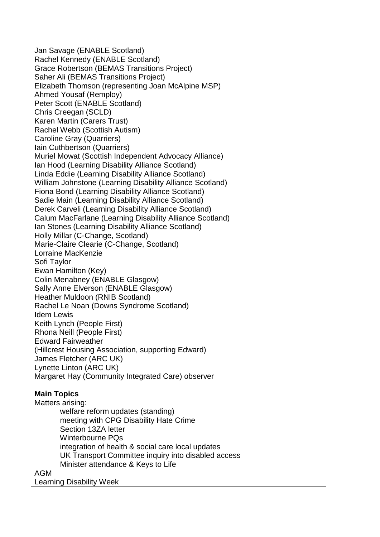Jan Savage (ENABLE Scotland) Rachel Kennedy (ENABLE Scotland) Grace Robertson (BEMAS Transitions Project) Saher Ali (BEMAS Transitions Project) Elizabeth Thomson (representing Joan McAlpine MSP) Ahmed Yousaf (Remploy) Peter Scott (ENABLE Scotland) Chris Creegan (SCLD) Karen Martin (Carers Trust) Rachel Webb (Scottish Autism) Caroline Gray (Quarriers) Iain Cuthbertson (Quarriers) Muriel Mowat (Scottish Independent Advocacy Alliance) Ian Hood (Learning Disability Alliance Scotland) Linda Eddie (Learning Disability Alliance Scotland) William Johnstone (Learning Disability Alliance Scotland) Fiona Bond (Learning Disability Alliance Scotland) Sadie Main (Learning Disability Alliance Scotland) Derek Carveli (Learning Disability Alliance Scotland) Calum MacFarlane (Learning Disability Alliance Scotland) Ian Stones (Learning Disability Alliance Scotland) Holly Millar (C-Change, Scotland) Marie-Claire Clearie (C-Change, Scotland) Lorraine MacKenzie Sofi Taylor Ewan Hamilton (Key) Colin Menabney (ENABLE Glasgow) Sally Anne Elverson (ENABLE Glasgow) Heather Muldoon (RNIB Scotland) Rachel Le Noan (Downs Syndrome Scotland) Idem Lewis Keith Lynch (People First) Rhona Neill (People First) Edward Fairweather (Hillcrest Housing Association, supporting Edward) James Fletcher (ARC UK) Lynette Linton (ARC UK) Margaret Hay (Community Integrated Care) observer **Main Topics** Matters arising:

 welfare reform updates (standing) meeting with CPG Disability Hate Crime Section 13ZA letter Winterbourne PQs integration of health & social care local updates UK Transport Committee inquiry into disabled access Minister attendance & Keys to Life

AGM

Learning Disability Week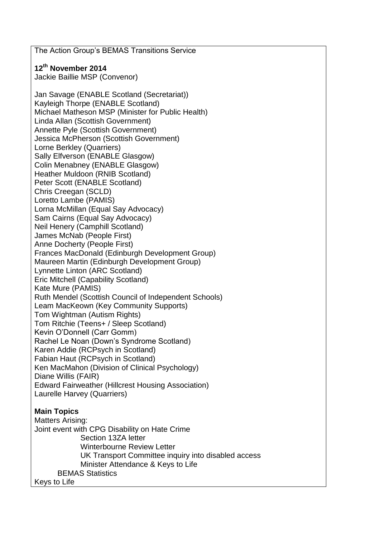The Action Group's BEMAS Transitions Service

**12th November 2014**

Jackie Baillie MSP (Convenor)

Jan Savage (ENABLE Scotland (Secretariat)) Kayleigh Thorpe (ENABLE Scotland) Michael Matheson MSP (Minister for Public Health) Linda Allan (Scottish Government) Annette Pyle (Scottish Government) Jessica McPherson (Scottish Government) Lorne Berkley (Quarriers) Sally Elfverson (ENABLE Glasgow) Colin Menabney (ENABLE Glasgow) Heather Muldoon (RNIB Scotland) Peter Scott (ENABLE Scotland) Chris Creegan (SCLD) Loretto Lambe (PAMIS) Lorna McMillan (Equal Say Advocacy) Sam Cairns (Equal Say Advocacy) Neil Henery (Camphill Scotland) James McNab (People First) Anne Docherty (People First) Frances MacDonald (Edinburgh Development Group) Maureen Martin (Edinburgh Development Group) Lynnette Linton (ARC Scotland) Eric Mitchell (Capability Scotland) Kate Mure (PAMIS) Ruth Mendel (Scottish Council of Independent Schools) Leam MacKeown (Key Community Supports) Tom Wightman (Autism Rights) Tom Ritchie (Teens+ / Sleep Scotland) Kevin O'Donnell (Carr Gomm) Rachel Le Noan (Down's Syndrome Scotland) Karen Addie (RCPsych in Scotland) Fabian Haut (RCPsych in Scotland) Ken MacMahon (Division of Clinical Psychology) Diane Willis (FAIR) Edward Fairweather (Hillcrest Housing Association) Laurelle Harvey (Quarriers)

## **Main Topics**

Matters Arising: Joint event with CPG Disability on Hate Crime Section 13ZA letter Winterbourne Review Letter UK Transport Committee inquiry into disabled access Minister Attendance & Keys to Life BEMAS Statistics Keys to Life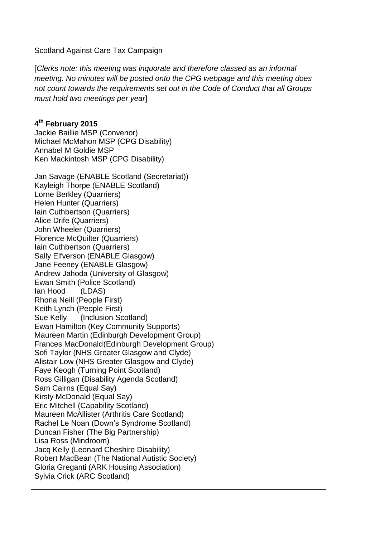#### Scotland Against Care Tax Campaign

[*Clerks note: this meeting was inquorate and therefore classed as an informal meeting. No minutes will be posted onto the CPG webpage and this meeting does not count towards the requirements set out in the Code of Conduct that all Groups must hold two meetings per year*]

# **4 th February 2015**

Jackie Baillie MSP (Convenor) Michael McMahon MSP (CPG Disability) Annabel M Goldie MSP Ken Mackintosh MSP (CPG Disability)

Jan Savage (ENABLE Scotland (Secretariat)) Kayleigh Thorpe (ENABLE Scotland) Lorne Berkley (Quarriers) Helen Hunter (Quarriers) Iain Cuthbertson (Quarriers) Alice Drife (Quarriers) John Wheeler (Quarriers) Florence McQuilter (Quarriers) Iain Cuthbertson (Quarriers) Sally Elfverson (ENABLE Glasgow) Jane Feeney (ENABLE Glasgow) Andrew Jahoda (University of Glasgow) Ewan Smith (Police Scotland) Ian Hood (LDAS) Rhona Neill (People First) Keith Lynch (People First) Sue Kelly (Inclusion Scotland) Ewan Hamilton (Key Community Supports) Maureen Martin (Edinburgh Development Group) Frances MacDonald(Edinburgh Development Group) Sofi Taylor (NHS Greater Glasgow and Clyde) Alistair Low (NHS Greater Glasgow and Clyde) Faye Keogh (Turning Point Scotland) Ross Gilligan (Disability Agenda Scotland) Sam Cairns (Equal Say) Kirsty McDonald (Equal Say) Eric Mitchell (Capability Scotland) Maureen McAllister (Arthritis Care Scotland) Rachel Le Noan (Down's Syndrome Scotland) Duncan Fisher (The Big Partnership) Lisa Ross (Mindroom) Jacq Kelly (Leonard Cheshire Disability) Robert MacBean (The National Autistic Society) Gloria Greganti (ARK Housing Association) Sylvia Crick (ARC Scotland)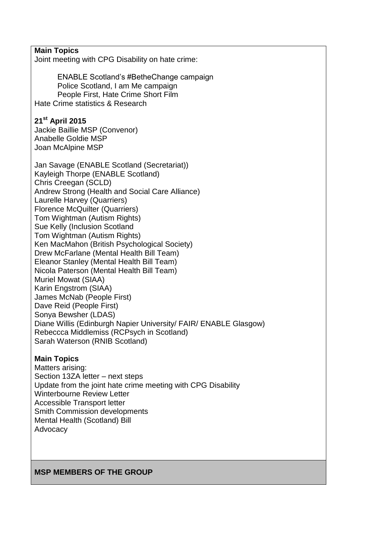### **Main Topics**

Joint meeting with CPG Disability on hate crime:

ENABLE Scotland's #BetheChange campaign Police Scotland, I am Me campaign People First, Hate Crime Short Film Hate Crime statistics & Research

#### **21st April 2015**

Jackie Baillie MSP (Convenor) Anabelle Goldie MSP Joan McAlpine MSP

Jan Savage (ENABLE Scotland (Secretariat)) Kayleigh Thorpe (ENABLE Scotland) Chris Creegan (SCLD) Andrew Strong (Health and Social Care Alliance) Laurelle Harvey (Quarriers) Florence McQuilter (Quarriers) Tom Wightman (Autism Rights) Sue Kelly (Inclusion Scotland Tom Wightman (Autism Rights) Ken MacMahon (British Psychological Society) Drew McFarlane (Mental Health Bill Team) Eleanor Stanley (Mental Health Bill Team) Nicola Paterson (Mental Health Bill Team) Muriel Mowat (SIAA) Karin Engstrom (SIAA) James McNab (People First) Dave Reid (People First) Sonya Bewsher (LDAS) Diane Willis (Edinburgh Napier University/ FAIR/ ENABLE Glasgow) Rebeccca Middlemiss (RCPsych in Scotland) Sarah Waterson (RNIB Scotland)

### **Main Topics**

Matters arising: Section 13ZA letter – next steps Update from the joint hate crime meeting with CPG Disability Winterbourne Review Letter Accessible Transport letter Smith Commission developments Mental Health (Scotland) Bill Advocacy

#### **MSP MEMBERS OF THE GROUP**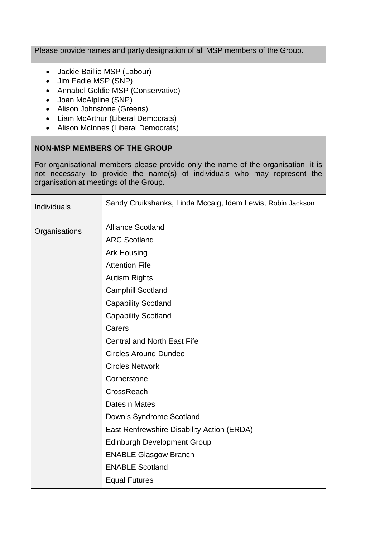Please provide names and party designation of all MSP members of the Group.

- Jackie Baillie MSP (Labour)
- Jim Eadie MSP (SNP)
- Annabel Goldie MSP (Conservative)
- Joan McAlpline (SNP)
- Alison Johnstone (Greens)
- Liam McArthur (Liberal Democrats)
- Alison McInnes (Liberal Democrats)

### **NON-MSP MEMBERS OF THE GROUP**

For organisational members please provide only the name of the organisation, it is not necessary to provide the name(s) of individuals who may represent the organisation at meetings of the Group.

| Individuals   | Sandy Cruikshanks, Linda Mccaig, Idem Lewis, Robin Jackson |
|---------------|------------------------------------------------------------|
|               |                                                            |
| Organisations | <b>Alliance Scotland</b>                                   |
|               | <b>ARC Scotland</b>                                        |
|               | <b>Ark Housing</b>                                         |
|               | <b>Attention Fife</b>                                      |
|               | <b>Autism Rights</b>                                       |
|               | <b>Camphill Scotland</b>                                   |
|               | <b>Capability Scotland</b>                                 |
|               | <b>Capability Scotland</b>                                 |
|               | Carers                                                     |
|               | <b>Central and North East Fife</b>                         |
|               | <b>Circles Around Dundee</b>                               |
|               | <b>Circles Network</b>                                     |
|               | Cornerstone                                                |
|               | CrossReach                                                 |
|               | Dates n Mates                                              |
|               | Down's Syndrome Scotland                                   |
|               | East Renfrewshire Disability Action (ERDA)                 |
|               | <b>Edinburgh Development Group</b>                         |
|               | <b>ENABLE Glasgow Branch</b>                               |
|               | <b>ENABLE Scotland</b>                                     |
|               | <b>Equal Futures</b>                                       |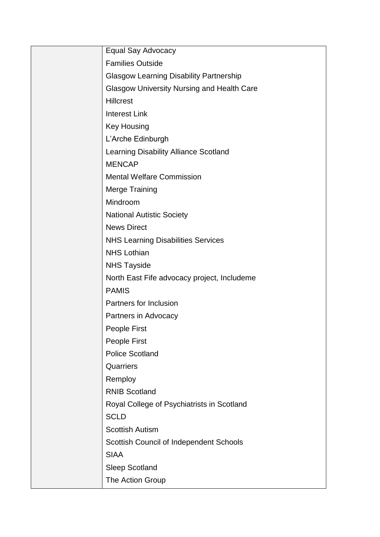| Equal Say Advocacy                                |
|---------------------------------------------------|
| <b>Families Outside</b>                           |
| <b>Glasgow Learning Disability Partnership</b>    |
| <b>Glasgow University Nursing and Health Care</b> |
| <b>Hillcrest</b>                                  |
| <b>Interest Link</b>                              |
| <b>Key Housing</b>                                |
| L'Arche Edinburgh                                 |
| Learning Disability Alliance Scotland             |
| <b>MENCAP</b>                                     |
| <b>Mental Welfare Commission</b>                  |
| <b>Merge Training</b>                             |
| Mindroom                                          |
| <b>National Autistic Society</b>                  |
| <b>News Direct</b>                                |
| <b>NHS Learning Disabilities Services</b>         |
| <b>NHS Lothian</b>                                |
| <b>NHS Tayside</b>                                |
| North East Fife advocacy project, Includeme       |
| <b>PAMIS</b>                                      |
| Partners for Inclusion                            |
| Partners in Advocacy                              |
| <b>People First</b>                               |
| People First                                      |
| <b>Police Scotland</b>                            |
| Quarriers                                         |
| Remploy                                           |
| <b>RNIB Scotland</b>                              |
| Royal College of Psychiatrists in Scotland        |
| <b>SCLD</b>                                       |
| <b>Scottish Autism</b>                            |
| Scottish Council of Independent Schools           |
| <b>SIAA</b>                                       |
| <b>Sleep Scotland</b>                             |
| The Action Group                                  |
|                                                   |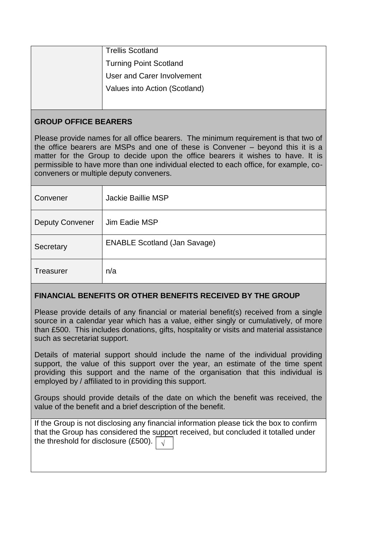| <b>Trellis Scotland</b>       |
|-------------------------------|
| <b>Turning Point Scotland</b> |
| User and Carer Involvement    |
| Values into Action (Scotland) |
|                               |

# **GROUP OFFICE BEARERS**

Please provide names for all office bearers. The minimum requirement is that two of the office bearers are MSPs and one of these is Convener – beyond this it is a matter for the Group to decide upon the office bearers it wishes to have. It is permissible to have more than one individual elected to each office, for example, coconveners or multiple deputy conveners.

| Convener               | Jackie Baillie MSP                  |
|------------------------|-------------------------------------|
| <b>Deputy Convener</b> | Jim Eadie MSP                       |
| Secretary              | <b>ENABLE Scotland (Jan Savage)</b> |
| <b>Treasurer</b>       | n/a                                 |

# **FINANCIAL BENEFITS OR OTHER BENEFITS RECEIVED BY THE GROUP**

Please provide details of any financial or material benefit(s) received from a single source in a calendar year which has a value, either singly or cumulatively, of more than £500. This includes donations, gifts, hospitality or visits and material assistance such as secretariat support.

Details of material support should include the name of the individual providing support, the value of this support over the year, an estimate of the time spent providing this support and the name of the organisation that this individual is employed by / affiliated to in providing this support.

Groups should provide details of the date on which the benefit was received, the value of the benefit and a brief description of the benefit.

|                                                                                     |  | If the Group is not disclosing any financial information please tick the box to confirm |  |  |
|-------------------------------------------------------------------------------------|--|-----------------------------------------------------------------------------------------|--|--|
| that the Group has considered the support received, but concluded it totalled under |  |                                                                                         |  |  |
| the threshold for disclosure (£500). $\vert \sqrt{ } \vert$                         |  |                                                                                         |  |  |